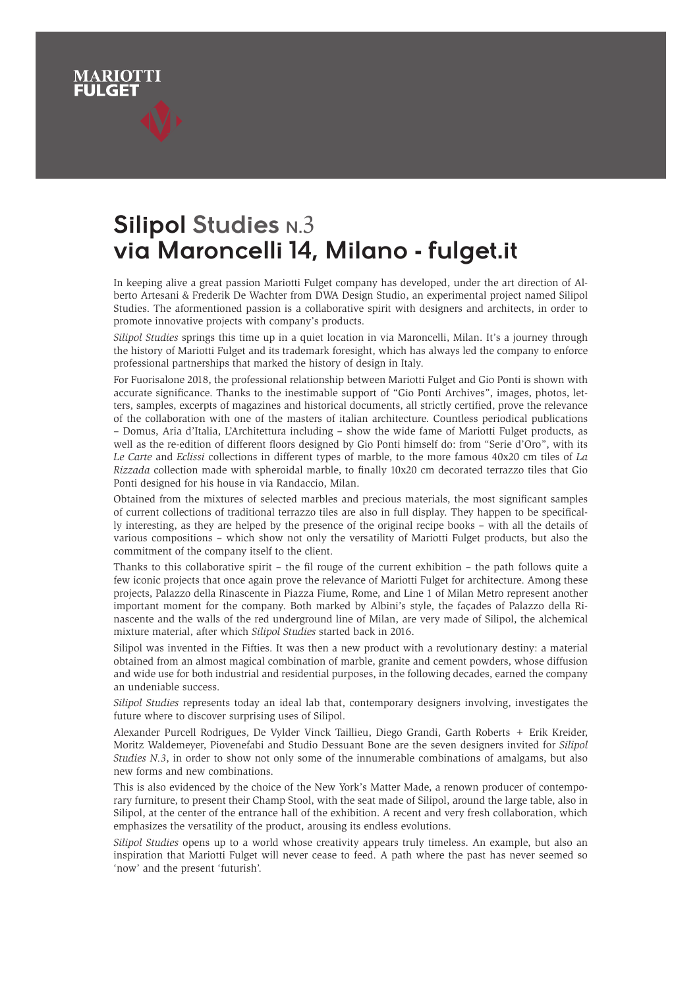## **Silipol Studies N.3 via Maroncelli 14, Milano - fulget.it**

MARIOTT

In keeping alive a great passion Mariotti Fulget company has developed, under the art direction of Alberto Artesani & Frederik De Wachter from DWA Design Studio, an experimental project named Silipol Studies. The aformentioned passion is a collaborative spirit with designers and architects, in order to promote innovative projects with company's products.

*Silipol Studies* springs this time up in a quiet location in via Maroncelli, Milan. It's a journey through the history of Mariotti Fulget and its trademark foresight, which has always led the company to enforce professional partnerships that marked the history of design in Italy.

For Fuorisalone 2018, the professional relationship between Mariotti Fulget and Gio Ponti is shown with accurate significance. Thanks to the inestimable support of "Gio Ponti Archives", images, photos, letters, samples, excerpts of magazines and historical documents, all strictly certified, prove the relevance of the collaboration with one of the masters of italian architecture. Countless periodical publications – Domus, Aria d'Italia, L'Architettura including – show the wide fame of Mariotti Fulget products, as well as the re-edition of different floors designed by Gio Ponti himself do: from "Serie d'Oro", with its *Le Carte* and *Eclissi* collections in different types of marble, to the more famous 40x20 cm tiles of *La Rizzada* collection made with spheroidal marble, to finally 10x20 cm decorated terrazzo tiles that Gio Ponti designed for his house in via Randaccio, Milan.

Obtained from the mixtures of selected marbles and precious materials, the most significant samples of current collections of traditional terrazzo tiles are also in full display. They happen to be specifically interesting, as they are helped by the presence of the original recipe books – with all the details of various compositions – which show not only the versatility of Mariotti Fulget products, but also the commitment of the company itself to the client.

Thanks to this collaborative spirit – the fil rouge of the current exhibition – the path follows quite a few iconic projects that once again prove the relevance of Mariotti Fulget for architecture. Among these projects, Palazzo della Rinascente in Piazza Fiume, Rome, and Line 1 of Milan Metro represent another important moment for the company. Both marked by Albini's style, the façades of Palazzo della Rinascente and the walls of the red underground line of Milan, are very made of Silipol, the alchemical mixture material, after which *Silipol Studies* started back in 2016.

Silipol was invented in the Fifties. It was then a new product with a revolutionary destiny: a material obtained from an almost magical combination of marble, granite and cement powders, whose diffusion and wide use for both industrial and residential purposes, in the following decades, earned the company an undeniable success.

*Silipol Studies* represents today an ideal lab that, contemporary designers involving, investigates the future where to discover surprising uses of Silipol.

Alexander Purcell Rodrigues, De Vylder Vinck Taillieu, Diego Grandi, Garth Roberts + Erik Kreider, Moritz Waldemeyer, Piovenefabi and Studio Dessuant Bone are the seven designers invited for *Silipol Studies N.3*, in order to show not only some of the innumerable combinations of amalgams, but also new forms and new combinations.

This is also evidenced by the choice of the New York's Matter Made, a renown producer of contemporary furniture, to present their Champ Stool, with the seat made of Silipol, around the large table, also in Silipol, at the center of the entrance hall of the exhibition. A recent and very fresh collaboration, which emphasizes the versatility of the product, arousing its endless evolutions.

*Silipol Studies* opens up to a world whose creativity appears truly timeless. An example, but also an inspiration that Mariotti Fulget will never cease to feed. A path where the past has never seemed so 'now' and the present 'futurish'.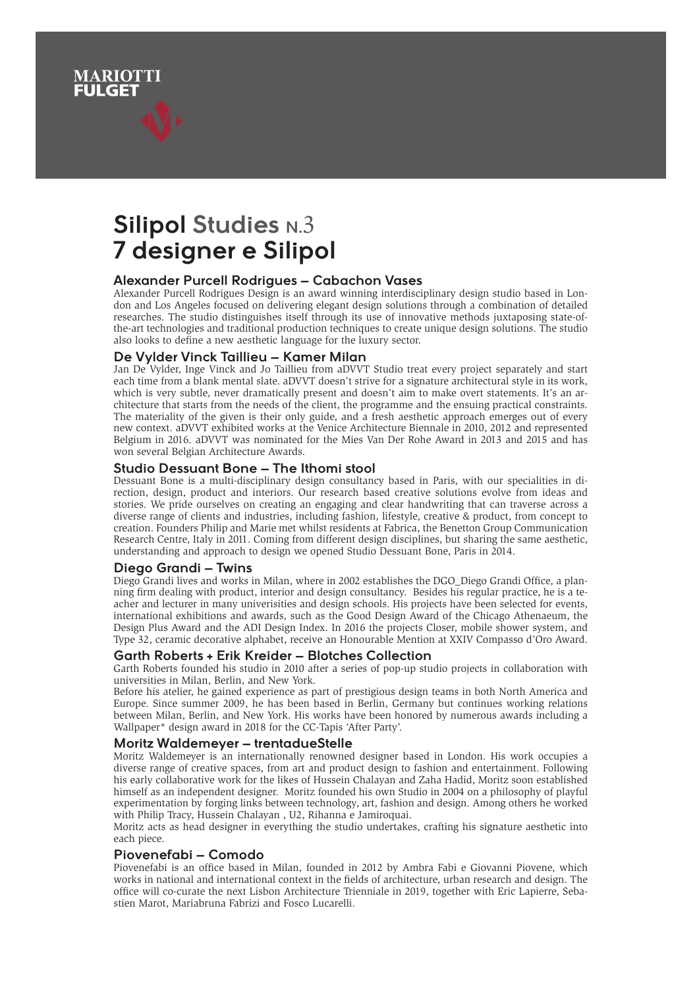# **Silipol Studies N.3 7 designer e Silipol**

MARIOTT

## **Alexander Purcell Rodrigues – Cabachon Vases**

Alexander Purcell Rodrigues Design is an award winning interdisciplinary design studio based in London and Los Angeles focused on delivering elegant design solutions through a combination of detailed researches. The studio distinguishes itself through its use of innovative methods juxtaposing state-ofthe-art technologies and traditional production techniques to create unique design solutions. The studio also looks to define a new aesthetic language for the luxury sector.

## **De Vylder Vinck Taillieu – Kamer Milan**

Jan De Vylder, Inge Vinck and Jo Taillieu from aDVVT Studio treat every project separately and start each time from a blank mental slate. aDVVT doesn't strive for a signature architectural style in its work, which is very subtle, never dramatically present and doesn't aim to make overt statements. It's an architecture that starts from the needs of the client, the programme and the ensuing practical constraints. The materiality of the given is their only guide, and a fresh aesthetic approach emerges out of every new context. aDVVT exhibited works at the Venice Architecture Biennale in 2010, 2012 and represented Belgium in 2016. aDVVT was nominated for the Mies Van Der Rohe Award in 2013 and 2015 and has won several Belgian Architecture Awards.

#### **Studio Dessuant Bone – The Ithomi stool**

Dessuant Bone is a multi-disciplinary design consultancy based in Paris, with our specialities in direction, design, product and interiors. Our research based creative solutions evolve from ideas and stories. We pride ourselves on creating an engaging and clear handwriting that can traverse across a diverse range of clients and industries, including fashion, lifestyle, creative & product, from concept to creation. Founders Philip and Marie met whilst residents at Fabrica, the Benetton Group Communication Research Centre, Italy in 2011. Coming from different design disciplines, but sharing the same aesthetic, understanding and approach to design we opened Studio Dessuant Bone, Paris in 2014.

## **Diego Grandi – Twins**

Diego Grandi lives and works in Milan, where in 2002 establishes the DGO\_Diego Grandi Office, a planning firm dealing with product, interior and design consultancy. Besides his regular practice, he is a teacher and lecturer in many univerisities and design schools. His projects have been selected for events, international exhibitions and awards, such as the Good Design Award of the Chicago Athenaeum, the Design Plus Award and the ADI Design Index. In 2016 the projects Closer, mobile shower system, and Type 32, ceramic decorative alphabet, receive an Honourable Mention at XXIV Compasso d'Oro Award.

#### **Garth Roberts + Erik Kreider – Blotches Collection**

Garth Roberts founded his studio in 2010 after a series of pop-up studio projects in collaboration with universities in Milan, Berlin, and New York.

Before his atelier, he gained experience as part of prestigious design teams in both North America and Europe. Since summer 2009, he has been based in Berlin, Germany but continues working relations between Milan, Berlin, and New York. His works have been honored by numerous awards including a Wallpaper\* design award in 2018 for the CC-Tapis 'After Party'.

## **Moritz Waldemeyer – trentadueStelle**

Moritz Waldemeyer is an internationally renowned designer based in London. His work occupies a diverse range of creative spaces, from art and product design to fashion and entertainment. Following his early collaborative work for the likes of Hussein Chalayan and Zaha Hadid, Moritz soon established himself as an independent designer. Moritz founded his own Studio in 2004 on a philosophy of playful experimentation by forging links between technology, art, fashion and design. Among others he worked with Philip Tracy, Hussein Chalayan , U2, Rihanna e Jamiroquai.

Moritz acts as head designer in everything the studio undertakes, crafting his signature aesthetic into each piece.

## **Piovenefabi – Comodo**

Piovenefabi is an office based in Milan, founded in 2012 by Ambra Fabi e Giovanni Piovene, which works in national and international context in the fields of architecture, urban research and design. The office will co-curate the next Lisbon Architecture Trienniale in 2019, together with Eric Lapierre, Sebastien Marot, Mariabruna Fabrizi and Fosco Lucarelli.